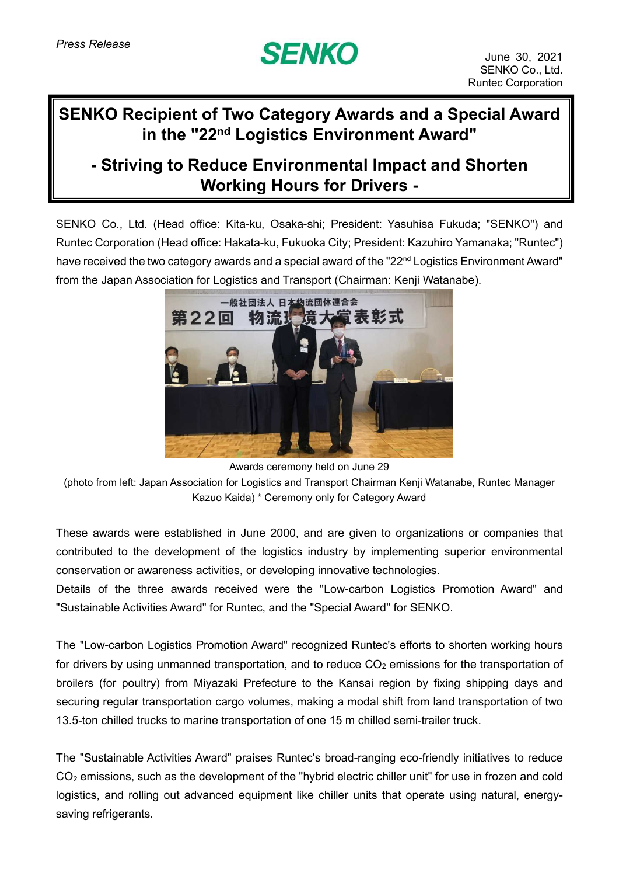## **SENKO**

## **SENKO Recipient of Two Category Awards and a Special Award in the "22 nd Logistics Environment Award"**

## **- Striving to Reduce Environmental Impact and Shorten Working Hours for Drivers -**

SENKO Co., Ltd. (Head office: Kita-ku, Osaka-shi; President: Yasuhisa Fukuda; "SENKO") and Runtec Corporation (Head office: Hakata-ku, Fukuoka City; President: Kazuhiro Yamanaka; "Runtec") have received the two category awards and a special award of the "22<sup>nd</sup> Logistics Environment Award" from the Japan Association for Logistics and Transport (Chairman: Kenji Watanabe).



Awards ceremony held on June 29 (photo from left: Japan Association for Logistics and Transport Chairman Kenji Watanabe, Runtec Manager Kazuo Kaida) \* Ceremony only for Category Award

These awards were established in June 2000, and are given to organizations or companies that contributed to the development of the logistics industry by implementing superior environmental conservation or awareness activities, or developing innovative technologies.

Details of the three awards received were the "Low-carbon Logistics Promotion Award" and "Sustainable Activities Award" for Runtec, and the "Special Award" for SENKO.

The "Low-carbon Logistics Promotion Award" recognized Runtec's efforts to shorten working hours for drivers by using unmanned transportation, and to reduce  $CO<sub>2</sub>$  emissions for the transportation of broilers (for poultry) from Miyazaki Prefecture to the Kansai region by fixing shipping days and securing regular transportation cargo volumes, making a modal shift from land transportation of two 13.5-ton chilled trucks to marine transportation of one 15 m chilled semi-trailer truck.

The "Sustainable Activities Award" praises Runtec's broad-ranging eco-friendly initiatives to reduce CO<sup>2</sup> emissions, such as the development of the "hybrid electric chiller unit" for use in frozen and cold logistics, and rolling out advanced equipment like chiller units that operate using natural, energysaving refrigerants.